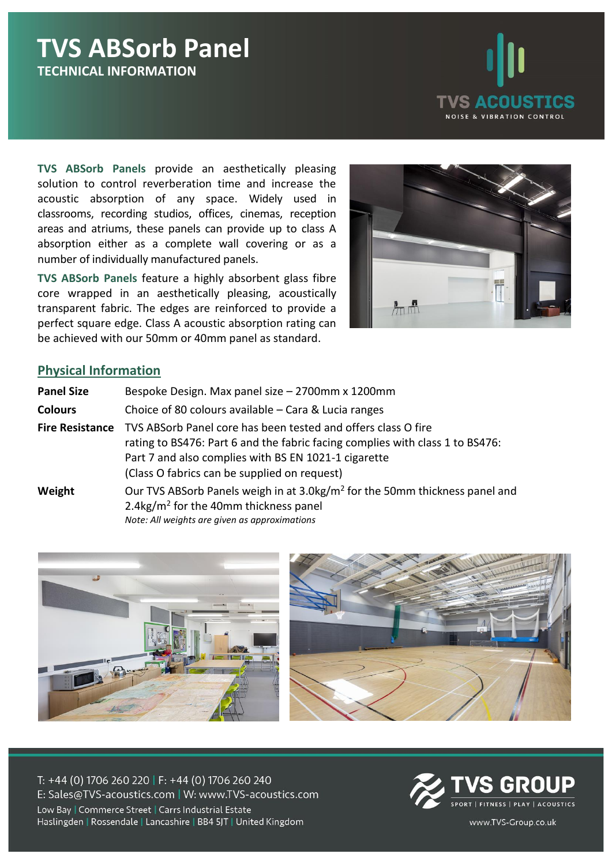# **TVS ABSorb Panel TECHNICAL INFORMATION**



**TVS ABSorb Panels** provide an aesthetically pleasing solution to control reverberation time and increase the acoustic absorption of any space. Widely used in classrooms, recording studios, offices, cinemas, reception areas and atriums, these panels can provide up to class A absorption either as a complete wall covering or as a number of individually manufactured panels.

**TVS ABSorb Panels** feature a highly absorbent glass fibre core wrapped in an aesthetically pleasing, acoustically transparent fabric. The edges are reinforced to provide a perfect square edge. Class A acoustic absorption rating can be achieved with our 50mm or 40mm panel as standard.



#### **Physical Information**

| <b>Panel Size</b>      | Bespoke Design. Max panel size - 2700mm x 1200mm                                                                                                                                                                                                       |
|------------------------|--------------------------------------------------------------------------------------------------------------------------------------------------------------------------------------------------------------------------------------------------------|
| <b>Colours</b>         | Choice of 80 colours available – Cara & Lucia ranges                                                                                                                                                                                                   |
| <b>Fire Resistance</b> | TVS ABSorb Panel core has been tested and offers class O fire<br>rating to BS476: Part 6 and the fabric facing complies with class 1 to BS476:<br>Part 7 and also complies with BS EN 1021-1 cigarette<br>(Class O fabrics can be supplied on request) |
| Weight                 | Our TVS ABSorb Panels weigh in at 3.0kg/m <sup>2</sup> for the 50mm thickness panel and<br>2.4kg/ $m^2$ for the 40mm thickness panel<br>Note: All weights are given as approximations                                                                  |





T: +44 (0) 1706 260 220 | F: +44 (0) 1706 260 240 E: Sales@TVS-acoustics.com | W: www.TVS-acoustics.com Low Bay | Commerce Street | Carrs Industrial Estate Haslingden | Rossendale | Lancashire | BB4 5JT | United Kingdom



www.TVS-Group.co.uk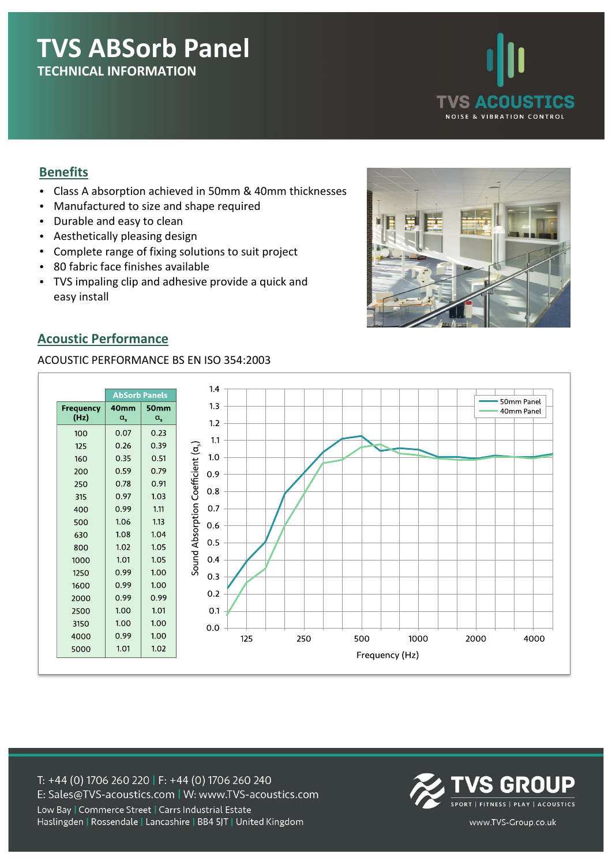# **TVS ABSorb Panel TECHNICAL INFORMATION**



### **Benefits**

- Class A absorption achieved in 50mm & 40mm thicknesses
- Manufactured to size and shape required
- Durable and easy to clean
- Aesthetically pleasing design
- Complete range of fixing solutions to suit project
- 80 fabric face finishes available
- TVS impaling clip and adhesive provide a quick and easy install



### **Acoustic Performance**

#### ACOUSTIC PERFORMANCE BS EN ISO 354:2003



T: +44 (0) 1706 260 220 | F: +44 (0) 1706 260 240 E: Sales@TVS-acoustics.com | W: www.TVS-acoustics.com Low Bay | Commerce Street | Carrs Industrial Estate Haslingden | Rossendale | Lancashire | BB4 5JT | United Kingdom



www.TVS-Group.co.uk